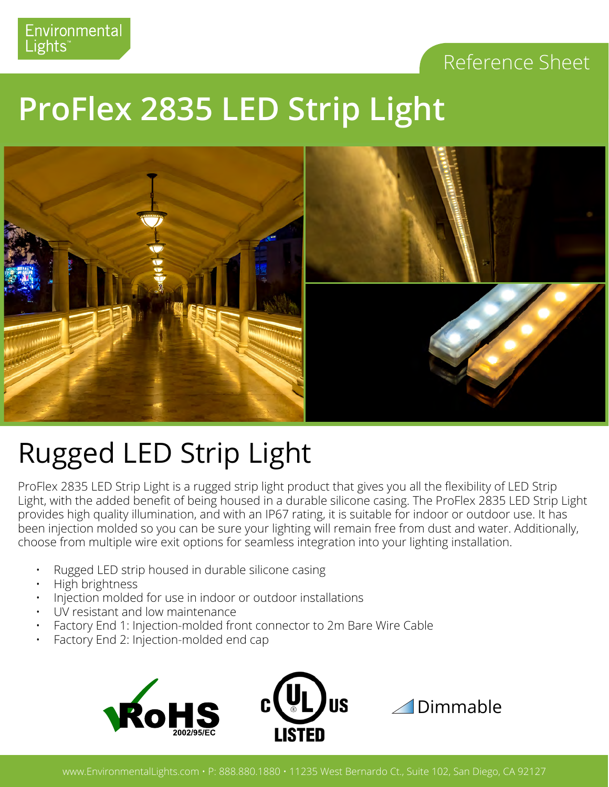#### Reference Sheet

## **ProFlex 2835 LED Strip Light**



### Rugged LED Strip Light

ProFlex 2835 LED Strip Light is a rugged strip light product that gives you all the flexibility of LED Strip Light, with the added benefit of being housed in a durable silicone casing. The ProFlex 2835 LED Strip Light provides high quality illumination, and with an IP67 rating, it is suitable for indoor or outdoor use. It has been injection molded so you can be sure your lighting will remain free from dust and water. Additionally, choose from multiple wire exit options for seamless integration into your lighting installation.

- Rugged LED strip housed in durable silicone casing
- High brightness
- Injection molded for use in indoor or outdoor installations
- UV resistant and low maintenance
- Factory End 1: Injection-molded front connector to 2m Bare Wire Cable
- Factory End 2: Injection-molded end cap